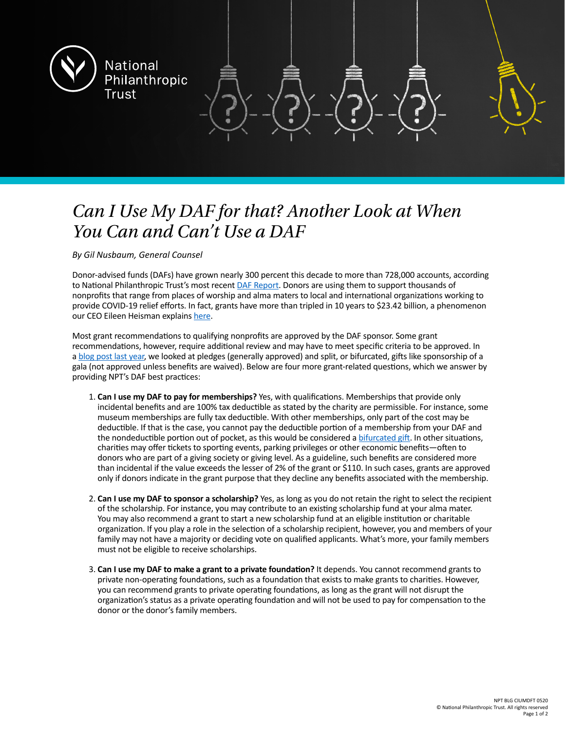

## *Can I Use My DAF for that? Another Look at When You Can and Can't Use a DAF*

*By Gil Nusbaum, General Counsel*

Donor-advised funds (DAFs) have grown nearly 300 percent this decade to more than 728,000 accounts, according to National Philanthropic Trust's most recent [DAF Report](https://www.nptrust.org/reports/daf-report/). Donors are using them to support thousands of nonprofits that range from places of worship and alma maters to local and international organizations working to provide COVID-19 relief efforts. In fact, grants have more than tripled in 10 years to \$23.42 billion, a phenomenon our CEO Eileen Heisman explains [here](https://www.worth.com/donor-advised-funds-were-up-almost-300-percent-this-decade-why/).

Most grant recommendations to qualifying nonprofits are approved by the DAF sponsor. Some grant recommendations, however, require additional review and may have to meet specific criteria to be approved. In a [blog post last year](https://www.nptrust.org/philanthropic-resources/philanthropist/can-i-use-my-daf-for-that/), we looked at pledges (generally approved) and split, or bifurcated, gifts like sponsorship of a gala (not approved unless benefits are waived). Below are four more grant-related questions, which we answer by providing NPT's DAF best practices:

- 1. **Can I use my DAF to pay for memberships?** Yes, with qualifications. Memberships that provide only incidental benefits and are 100% tax deductible as stated by the charity are permissible. For instance, some museum memberships are fully tax deductible. With other memberships, only part of the cost may be deductible. If that is the case, you cannot pay the deductible portion of a membership from your DAF and the nondeductible portion out of pocket, as this would be considered a [bifurcated gift](https://www.nptrust.org/philanthropic-resources/philanthropist/can-i-use-my-daf-for-that/). In other situations, charities may offer tickets to sporting events, parking privileges or other economic benefits—often to donors who are part of a giving society or giving level. As a guideline, such benefits are considered more than incidental if the value exceeds the lesser of 2% of the grant or \$110. In such cases, grants are approved only if donors indicate in the grant purpose that they decline any benefits associated with the membership.
- 2. **Can I use my DAF to sponsor a scholarship?** Yes, as long as you do not retain the right to select the recipient of the scholarship. For instance, you may contribute to an existing scholarship fund at your alma mater. You may also recommend a grant to start a new scholarship fund at an eligible institution or charitable organization. If you play a role in the selection of a scholarship recipient, however, you and members of your family may not have a majority or deciding vote on qualified applicants. What's more, your family members must not be eligible to receive scholarships.
- 3. **Can I use my DAF to make a grant to a private foundation?** It depends. You cannot recommend grants to private non-operating foundations, such as a foundation that exists to make grants to charities. However, you can recommend grants to private operating foundations, as long as the grant will not disrupt the organization's status as a private operating foundation and will not be used to pay for compensation to the donor or the donor's family members.